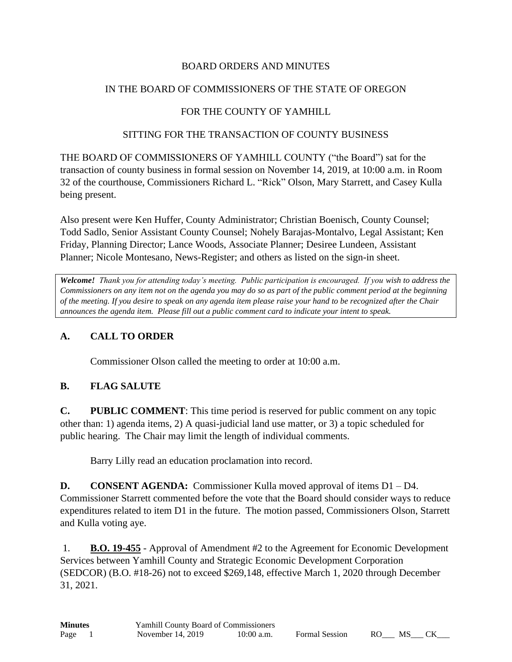#### BOARD ORDERS AND MINUTES

### IN THE BOARD OF COMMISSIONERS OF THE STATE OF OREGON

## FOR THE COUNTY OF YAMHILL

#### SITTING FOR THE TRANSACTION OF COUNTY BUSINESS

THE BOARD OF COMMISSIONERS OF YAMHILL COUNTY ("the Board") sat for the transaction of county business in formal session on November 14, 2019, at 10:00 a.m. in Room 32 of the courthouse, Commissioners Richard L. "Rick" Olson, Mary Starrett, and Casey Kulla being present.

Also present were Ken Huffer, County Administrator; Christian Boenisch, County Counsel; Todd Sadlo, Senior Assistant County Counsel; Nohely Barajas-Montalvo, Legal Assistant; Ken Friday, Planning Director; Lance Woods, Associate Planner; Desiree Lundeen, Assistant Planner; Nicole Montesano, News-Register; and others as listed on the sign-in sheet.

*Welcome! Thank you for attending today's meeting. Public participation is encouraged. If you wish to address the Commissioners on any item not on the agenda you may do so as part of the public comment period at the beginning of the meeting. If you desire to speak on any agenda item please raise your hand to be recognized after the Chair announces the agenda item. Please fill out a public comment card to indicate your intent to speak.*

# **A. CALL TO ORDER**

Commissioner Olson called the meeting to order at 10:00 a.m.

## **B. FLAG SALUTE**

**C. PUBLIC COMMENT**: This time period is reserved for public comment on any topic other than: 1) agenda items, 2) A quasi-judicial land use matter, or 3) a topic scheduled for public hearing. The Chair may limit the length of individual comments.

Barry Lilly read an education proclamation into record.

**D. CONSENT AGENDA:** Commissioner Kulla moved approval of items D1 – D4. Commissioner Starrett commented before the vote that the Board should consider ways to reduce expenditures related to item D1 in the future. The motion passed, Commissioners Olson, Starrett and Kulla voting aye.

1. **B.O. 19-455** - Approval of Amendment #2 to the Agreement for Economic Development Services between Yamhill County and Strategic Economic Development Corporation (SEDCOR) (B.O. #18-26) not to exceed \$269,148, effective March 1, 2020 through December 31, 2021.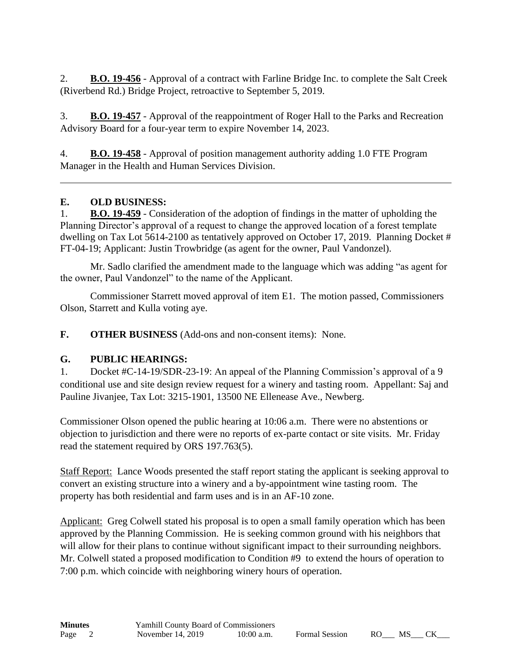2. **B.O. 19-456** - Approval of a contract with Farline Bridge Inc. to complete the Salt Creek (Riverbend Rd.) Bridge Project, retroactive to September 5, 2019.

3. **B.O. 19-457** - Approval of the reappointment of Roger Hall to the Parks and Recreation Advisory Board for a four-year term to expire November 14, 2023.

4. **B.O. 19-458** - Approval of position management authority adding 1.0 FTE Program Manager in the Health and Human Services Division.

#### **E. OLD BUSINESS:**

1. **B.O. 19-459** - Consideration of the adoption of findings in the matter of upholding the Planning Director's approval of a request to change the approved location of a forest template dwelling on Tax Lot 5614-2100 as tentatively approved on October 17, 2019. Planning Docket # FT-04-19; Applicant: Justin Trowbridge (as agent for the owner, Paul Vandonzel).

Mr. Sadlo clarified the amendment made to the language which was adding "as agent for the owner, Paul Vandonzel" to the name of the Applicant.

Commissioner Starrett moved approval of item E1. The motion passed, Commissioners Olson, Starrett and Kulla voting aye.

**F. OTHER BUSINESS** (Add-ons and non-consent items): None.

## **G. PUBLIC HEARINGS:**

1. Docket #C-14-19/SDR-23-19: An appeal of the Planning Commission's approval of a 9 conditional use and site design review request for a winery and tasting room. Appellant: Saj and Pauline Jivanjee, Tax Lot: 3215-1901, 13500 NE Ellenease Ave., Newberg.

Commissioner Olson opened the public hearing at 10:06 a.m. There were no abstentions or objection to jurisdiction and there were no reports of ex-parte contact or site visits. Mr. Friday read the statement required by ORS 197.763(5).

Staff Report: Lance Woods presented the staff report stating the applicant is seeking approval to convert an existing structure into a winery and a by-appointment wine tasting room. The property has both residential and farm uses and is in an AF-10 zone.

Applicant: Greg Colwell stated his proposal is to open a small family operation which has been approved by the Planning Commission. He is seeking common ground with his neighbors that will allow for their plans to continue without significant impact to their surrounding neighbors. Mr. Colwell stated a proposed modification to Condition #9 to extend the hours of operation to 7:00 p.m. which coincide with neighboring winery hours of operation.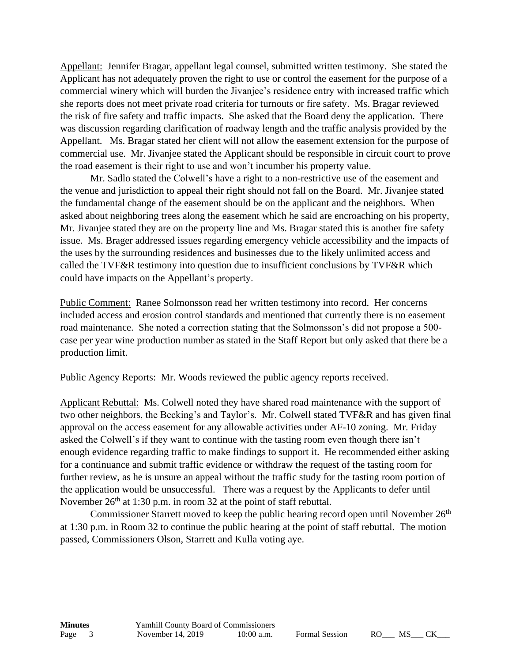Appellant: Jennifer Bragar, appellant legal counsel, submitted written testimony. She stated the Applicant has not adequately proven the right to use or control the easement for the purpose of a commercial winery which will burden the Jivanjee's residence entry with increased traffic which she reports does not meet private road criteria for turnouts or fire safety. Ms. Bragar reviewed the risk of fire safety and traffic impacts. She asked that the Board deny the application. There was discussion regarding clarification of roadway length and the traffic analysis provided by the Appellant. Ms. Bragar stated her client will not allow the easement extension for the purpose of commercial use. Mr. Jivanjee stated the Applicant should be responsible in circuit court to prove the road easement is their right to use and won't incumber his property value.

Mr. Sadlo stated the Colwell's have a right to a non-restrictive use of the easement and the venue and jurisdiction to appeal their right should not fall on the Board. Mr. Jivanjee stated the fundamental change of the easement should be on the applicant and the neighbors. When asked about neighboring trees along the easement which he said are encroaching on his property, Mr. Jivanjee stated they are on the property line and Ms. Bragar stated this is another fire safety issue. Ms. Brager addressed issues regarding emergency vehicle accessibility and the impacts of the uses by the surrounding residences and businesses due to the likely unlimited access and called the TVF&R testimony into question due to insufficient conclusions by TVF&R which could have impacts on the Appellant's property.

Public Comment: Ranee Solmonsson read her written testimony into record. Her concerns included access and erosion control standards and mentioned that currently there is no easement road maintenance. She noted a correction stating that the Solmonsson's did not propose a 500 case per year wine production number as stated in the Staff Report but only asked that there be a production limit.

Public Agency Reports: Mr. Woods reviewed the public agency reports received.

Applicant Rebuttal: Ms. Colwell noted they have shared road maintenance with the support of two other neighbors, the Becking's and Taylor's. Mr. Colwell stated TVF&R and has given final approval on the access easement for any allowable activities under AF-10 zoning. Mr. Friday asked the Colwell's if they want to continue with the tasting room even though there isn't enough evidence regarding traffic to make findings to support it. He recommended either asking for a continuance and submit traffic evidence or withdraw the request of the tasting room for further review, as he is unsure an appeal without the traffic study for the tasting room portion of the application would be unsuccessful. There was a request by the Applicants to defer until November  $26<sup>th</sup>$  at 1:30 p.m. in room 32 at the point of staff rebuttal.

Commissioner Starrett moved to keep the public hearing record open until November  $26<sup>th</sup>$ at 1:30 p.m. in Room 32 to continue the public hearing at the point of staff rebuttal. The motion passed, Commissioners Olson, Starrett and Kulla voting aye.

$$
\underline{\qquad}\overline{\qquad}\overline{\text{MS}}\underline{\qquad}\overline{\text{CK}}\underline{\qquad}
$$